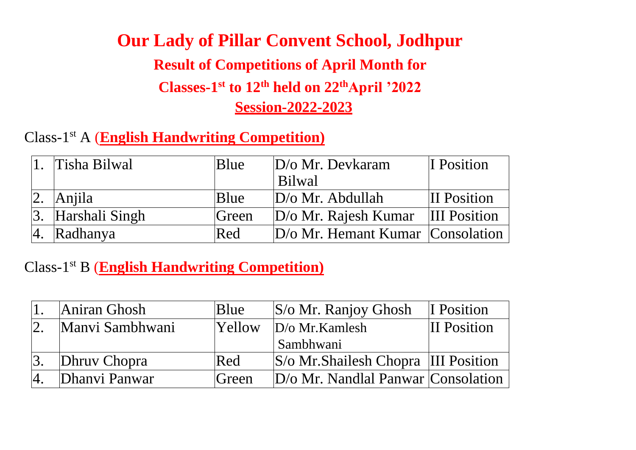# **Our Lady of Pillar Convent School, Jodhpur Result of Competitions of April Month for Classes-1 st to 12th held on 22thApril '2022 Session-2022-2023**

Class-1 st A (**English Handwriting Competition)**

| 1. Tisha Bilwal          | <b>B</b> lue | $D/\sigma$ Mr. Devkaram                       | I Position         |
|--------------------------|--------------|-----------------------------------------------|--------------------|
|                          |              | Bilwal                                        |                    |
| $ 2. \rangle$ Anjila     | <b>B</b> lue | $D/\sigma$ Mr. Abdullah                       | <b>II</b> Position |
| $\beta$ . Harshali Singh | Green        | $ D/\sigma Mr$ . Rajesh Kumar  III Position   |                    |
| $ 4. \rangle$ Radhanya   | Red          | $ D/\sigma Mr$ . Hemant Kumar $ Consolution $ |                    |

Class-1 st B (**English Handwriting Competition)**

| Aniran Ghosh    | <b>B</b> lue | $ S/\text{o}$ Mr. Ranjoy Ghosh            | I Position          |
|-----------------|--------------|-------------------------------------------|---------------------|
| Manyi Sambhwani | Yellow       | $D/\sigma$ Mr. Kamlesh                    | <b>III Position</b> |
|                 |              | Sambhwani                                 |                     |
| Dhruv Chopra    | Red          | S/o Mr. Shailesh Chopra  III Position     |                     |
| Dhanvi Panwar   | Green        | $D/\sigma$ Mr. Nandlal Panwar Consolation |                     |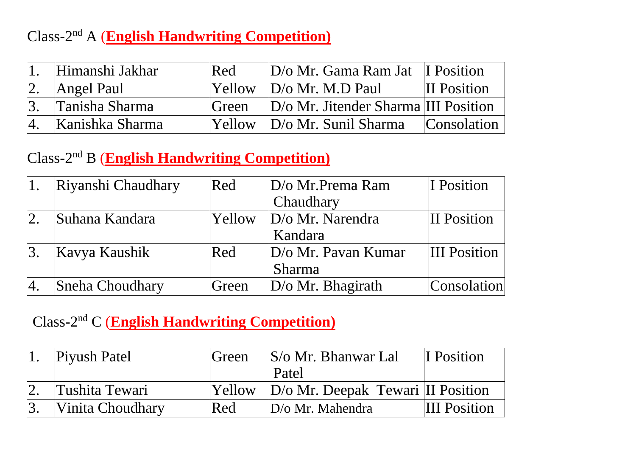## Class-2 nd A (**English Handwriting Competition)**

| Himanshi Jakhar | Red    | $ D/\sigma Mr$ . Gama Ram Jat II Position      |                     |
|-----------------|--------|------------------------------------------------|---------------------|
| Angel Paul      | Yellow | $D/\sigma$ Mr. M.D Paul                        | <b>III Position</b> |
| Tanisha Sharma  | Green  | D/o Mr. Jitender Sharma III Position           |                     |
| Kanishka Sharma | Yellow | $D/\sigma$ Mr. Sunil Sharma $\Box$ Consolation |                     |

### Class-2 nd B (**English Handwriting Competition)**

|     | Riyanshi Chaudhary | Red    | $D$ /o Mr. Prema Ram       | I Position          |
|-----|--------------------|--------|----------------------------|---------------------|
|     |                    |        | Chaudhary                  |                     |
| 12. | Suhana Kandara     | Yellow | $D/\sigma$ Mr. Narendra    | II Position         |
|     |                    |        | Kandara                    |                     |
| 13. | Kavya Kaushik      | Red    | $D/\sigma$ Mr. Pavan Kumar | <b>III</b> Position |
|     |                    |        | <b>Sharma</b>              |                     |
| Ι4. | Sneha Choudhary    | Green  | $D$ /o Mr. Bhagirath       | Consolation         |

#### Class-2 nd C (**English Handwriting Competition)**

| Piyush Patel     | Green  | $ S/\sigma Mr$ . Bhanwar Lal       | I Position          |
|------------------|--------|------------------------------------|---------------------|
|                  |        | Patel                              |                     |
| Tushita Tewari   | Yellow | D/o Mr. Deepak Tewari III Position |                     |
| Vinita Choudhary | Red    | $D/\sigma$ Mr. Mahendra            | <b>III</b> Position |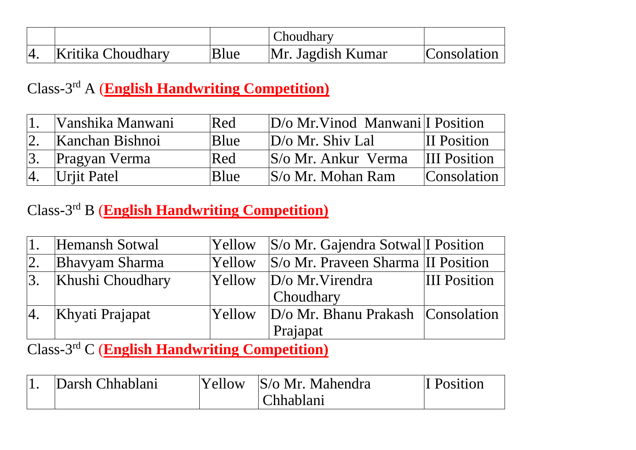|                   |      | Choudhary         |             |
|-------------------|------|-------------------|-------------|
| Kritika Choudhary | Blue | Mr. Jagdish Kumar | Consolation |

#### Class-3 rd A (**English Handwriting Competition)**

| Vanshika Manwani     | Red  | $D/O$ Mr. Vinod Manwani I Position |                     |
|----------------------|------|------------------------------------|---------------------|
| Kanchan Bishnoi      | Blue | $D/\sigma$ Mr. Shiv Lal            | <b>II</b> Position  |
| <b>Pragyan Verma</b> | Red  | S/o Mr. Ankur Verma                | <b>III</b> Position |
| $ 4.$ Urjit Patel    | Blue | $ S/\sigma Mr$ . Mohan Ram         | <b>Consolation</b>  |

### Class-3 rd B (**English Handwriting Competition)**

|    | Hemansh Sotwal        | <b>Yellow</b> | $ S/\text{o}$ Mr. Gajendra Sotwal I Position |                     |
|----|-----------------------|---------------|----------------------------------------------|---------------------|
| 2. | <b>Bhavyam Sharma</b> | <b>Yellow</b> | S/o Mr. Praveen Sharma II Position           |                     |
| 3. | Khushi Choudhary      | <b>Yellow</b> | $ D\angle O$ Mr. Virendra                    | <b>III</b> Position |
|    |                       |               | <b>Choudhary</b>                             |                     |
| 4. | Khyati Prajapat       | <b>Yellow</b> | $D/O$ Mr. Bhanu Prakash Consolation          |                     |
|    |                       |               | Prajapat                                     |                     |

Class-3 rd C (**English Handwriting Competition)**

| Darsh Chhablani | 'Yellow | S/o Mr. Mahendra | <sup>'T</sup> Position |
|-----------------|---------|------------------|------------------------|
|                 |         | Chhablani        |                        |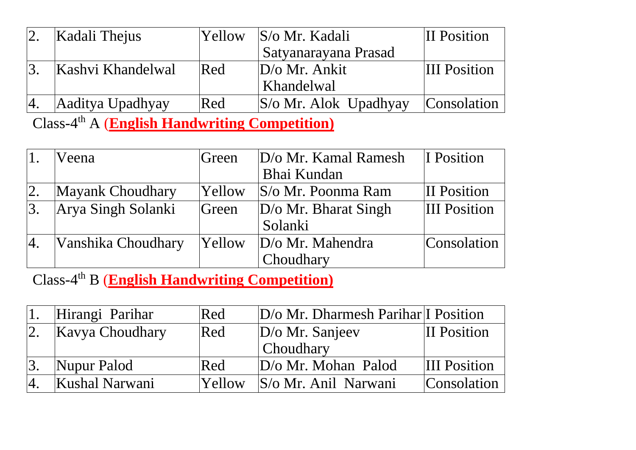|     | Kadali Thejus     | Yellow | $ S/\mathrm{o}$ Mr. Kadali       | II Position         |
|-----|-------------------|--------|----------------------------------|---------------------|
|     |                   |        | Satyanarayana Prasad             |                     |
|     | Kashvi Khandelwal | Red    | $D/\sigma$ Mr. Ankit             | <b>III</b> Position |
|     |                   |        | Khandelwal                       |                     |
| Ι4. | Aaditya Upadhyay  | Red    | $ S/\text{o} Mr$ . Alok Upadhyay | Consolation         |

Class-4 th A (**English Handwriting Competition)**

|    | Veena              | Green         | D/o Mr. Kamal Ramesh        | I Position          |
|----|--------------------|---------------|-----------------------------|---------------------|
|    |                    |               | Bhai Kundan                 |                     |
| 2. | Mayank Choudhary   | Yellow        | S/o Mr. Poonma Ram          | <b>II</b> Position  |
| 3. | Arya Singh Solanki | Green         | $D/\sigma$ Mr. Bharat Singh | <b>III</b> Position |
|    |                    |               | Solanki                     |                     |
| 4. | Vanshika Choudhary | <b>Yellow</b> | D/o Mr. Mahendra            | Consolation         |
|    |                    |               | Choudhary                   |                     |

Class-4 th B (**English Handwriting Competition)**

| Hirangi Parihar | Red           | D/o Mr. Dharmesh Parihar I Position |                     |
|-----------------|---------------|-------------------------------------|---------------------|
| Kavya Choudhary | Red           | $D/O$ Mr. Sanjeev                   | <b>III Position</b> |
|                 |               | Choudhary                           |                     |
| Nupur Palod     | Red           | $D/\sigma$ Mr. Mohan Palod          | <b>III</b> Position |
| Kushal Narwani  | <b>Yellow</b> | <i>S</i> /o Mr. Anil Narwani        | Consolation         |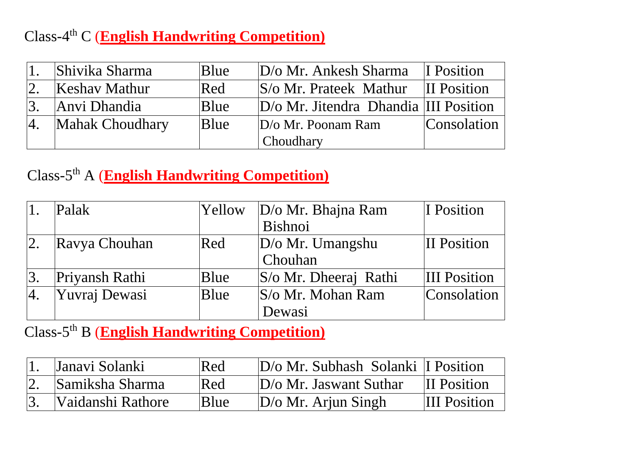## Class-4 th C (**English Handwriting Competition)**

|                  | Shivika Sharma       | Blue | $D/\sigma$ Mr. Ankesh Sharma                     | II Position        |
|------------------|----------------------|------|--------------------------------------------------|--------------------|
|                  | <b>Keshav Mathur</b> | Red  | $ S/\text{o}$ Mr. Prateek Mathur                 | <b>II</b> Position |
| $\vert 3. \vert$ | Anvi Dhandia         | Blue | $ D/\text{o} Mr$ . Jitendra Dhandia III Position |                    |
| $ 4$ .           | Mahak Choudhary      | Blue | $D/\sigma$ Mr. Poonam Ram                        | Consolation        |
|                  |                      |      | Choudhary                                        |                    |

## Class-5 th A (**English Handwriting Competition)**

|    | Palak          | Yellow | $D/\sigma$ Mr. Bhajna Ram       | I Position          |
|----|----------------|--------|---------------------------------|---------------------|
|    |                |        | Bishnoi                         |                     |
| 2. | Ravya Chouhan  | Red    | $D/\sigma$ Mr. Umangshu         | II Position         |
|    |                |        | Chouhan                         |                     |
|    | Priyansh Rathi | Blue   | $ S/\text{o}$ Mr. Dheeraj Rathi | <b>III</b> Position |
| 4. | Yuvraj Dewasi  | Blue   | $ S/\text{o}$ Mr. Mohan Ram     | Consolation         |
|    |                |        | Dewasi                          |                     |

Class-5 th B (**English Handwriting Competition)**

| Janavi Solanki    | Red  | $D/\sigma$ Mr. Subhash Solanki I Position |                     |
|-------------------|------|-------------------------------------------|---------------------|
| Samiksha Sharma   | Red  | $D/\sigma$ Mr. Jaswant Suthar             | <b>III</b> Position |
| Vaidanshi Rathore | Blue | $ D\angle$ Mr. Arjun Singh                | <b>III</b> Position |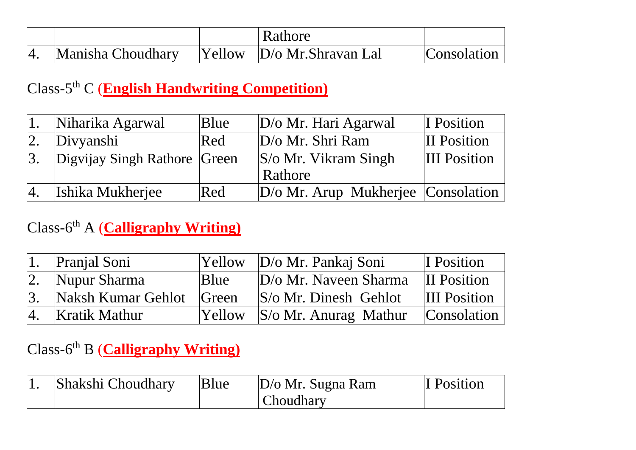|                   | Rathore                            |             |
|-------------------|------------------------------------|-------------|
| Manisha Choudhary | $ Y$ ellow $ D$ /o Mr. Shravan Lal | Consolation |

#### Class-5 th C (**English Handwriting Competition)**

| Niharika Agarwal             | Blue | $D/\sigma$ Mr. Hari Agarwal                      | I Position          |
|------------------------------|------|--------------------------------------------------|---------------------|
| Divyanshi                    | Red  | D/o Mr. Shri Ram                                 | <b>II</b> Position  |
| Digvijay Singh Rathore Green |      | $ S/\text{o} Mr$ . Vikram Singh                  | <b>III</b> Position |
|                              |      | Rathore                                          |                     |
| Ishika Mukherjee             | Red  | $ D/\text{o} Mr$ . Arup Mukherjee $ Consolation$ |                     |

### Class-6<sup>th</sup> A (**Calligraphy Writing**)

|    | Pranjal Soni       | <b>Yellow</b>  | D/o Mr. Pankaj Soni                 | I Position          |
|----|--------------------|----------------|-------------------------------------|---------------------|
|    | Nupur Sharma       | <b>B</b> lue   | $D/\sigma$ Mr. Naveen Sharma        | <b>III</b> Position |
| 3. | Naksh Kumar Gehlot | <b>S</b> Creen | $\vert S/\sigma Mr$ . Dinesh Gehlot | <b>III</b> Position |
| 4. | Kratik Mathur      | <b>Yellow</b>  | $ S/\text{o}$ Mr. Anurag Mathur     | Consolation         |

## Class-6<sup>th</sup> B (**Calligraphy Writing**)

| Shakshi Choudhary | Blue | $D/\sigma$ Mr. Sugna Ram | I Position |
|-------------------|------|--------------------------|------------|
|                   |      | Choudhary                |            |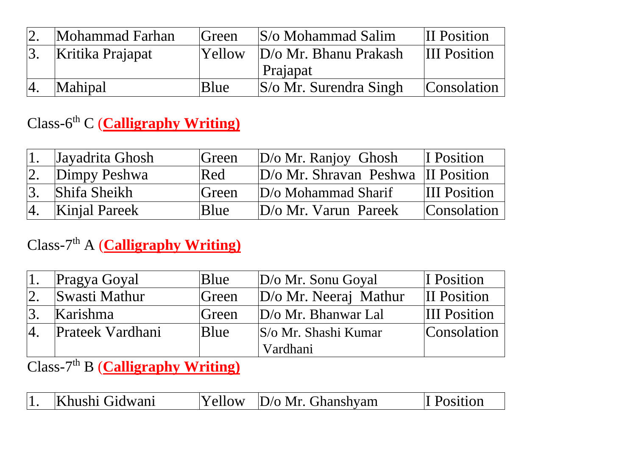| Mohammad Farhan  | <b>Green</b> | $ S/\sigma M$ ohammad Salim      | II Position         |
|------------------|--------------|----------------------------------|---------------------|
| Kritika Prajapat | Yellow       | $D/\sigma$ Mr. Bhanu Prakash     | <b>III</b> Position |
|                  |              | Prajapat                         |                     |
| Mahipal          | Blue         | $ S/\text{o}$ Mr. Surendra Singh | Consolation         |

# Class-6<sup>th</sup> C (**Calligraphy Writing**)

|                | Jayadrita Ghosh      | Green | $D/\sigma$ Mr. Ranjoy Ghosh          | I Position          |
|----------------|----------------------|-------|--------------------------------------|---------------------|
|                | Dimpy Peshwa         | Red   | $D/O$ Mr. Shravan Peshwa II Position |                     |
|                | <b>Shifa Sheikh</b>  | Green | $D/O$ Mohammad Sharif                | <b>III</b> Position |
| <sup>14.</sup> | <b>Kinjal Pareek</b> | Blue  | $D/\sigma$ Mr. Varun Pareek          | Consolation         |

# Class-7<sup>th</sup> A (**Calligraphy Writing**)

| Pragya Goyal            | Blue  | $D/\sigma$ Mr. Sonu Goyal      | I Position          |
|-------------------------|-------|--------------------------------|---------------------|
| Swasti Mathur           | Green | D/o Mr. Neeraj Mathur          | <b>II</b> Position  |
| Karishma                | Green | $D/\sigma$ Mr. Bhanwar Lal     | <b>III</b> Position |
| <b>Prateek Vardhani</b> | Blue  | $ S/\text{o}$ Mr. Shashi Kumar | Consolation         |
|                         |       | Vardhani                       |                     |

## Class-7<sup>th</sup> B (**Calligraphy Writing**)

|  | hushi Gidwani<br>$\mathbb{R}^n$ | $\mathsf{P}$ I<br>ندد ا | $D/\sigma$ Mr. Ghanshyam |  |
|--|---------------------------------|-------------------------|--------------------------|--|
|--|---------------------------------|-------------------------|--------------------------|--|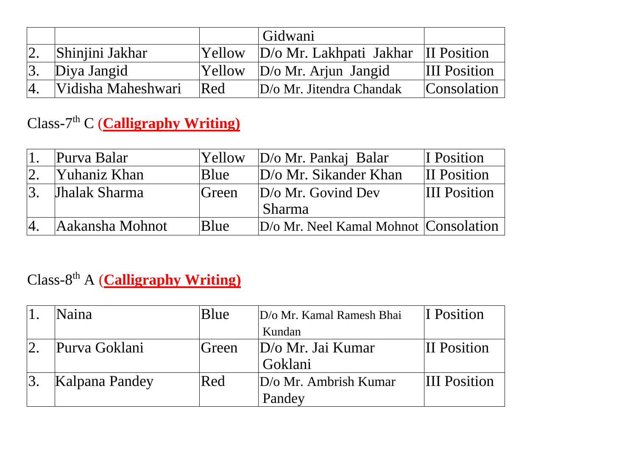|                    |               | Gidwani                                       |                     |
|--------------------|---------------|-----------------------------------------------|---------------------|
| Shinjini Jakhar    | <b>Yellow</b> | $ D/\text{o}$ Mr. Lakhpati Jakhar II Position |                     |
| Diya Jangid        | Yellow        | $D/\sigma$ Mr. Arjun Jangid                   | <b>III</b> Position |
| Vidisha Maheshwari | Red           | $D/\sigma$ Mr. Jitendra Chandak               | <b>Consolation</b>  |

# Class-7<sup>th</sup> C (**Calligraphy Writing**)

| Purva Balar          | Yellow | $D/\sigma$ Mr. Pankaj Balar                | I Position          |
|----------------------|--------|--------------------------------------------|---------------------|
| <b>Yuhaniz Khan</b>  | Blue   | $D/\sigma$ Mr. Sikander Khan               | <b>III</b> Position |
| <b>Jhalak Sharma</b> | Green  | $D/\sigma$ Mr. Govind Dev<br><b>Sharma</b> | <b>III</b> Position |
| Aakansha Mohnot      | Blue   | D/o Mr. Neel Kamal Mohnot Consolation      |                     |

# Class-8 th A (**Calligraphy Writing)**

| Naina          | Blue  | D/o Mr. Kamal Ramesh Bhai    | I Position          |
|----------------|-------|------------------------------|---------------------|
|                |       | Kundan                       |                     |
| Purva Goklani  | Green | $D/\sigma$ Mr. Jai Kumar     | <b>II</b> Position  |
|                |       | Goklani                      |                     |
| Kalpana Pandey | Red   | $D/\sigma$ Mr. Ambrish Kumar | <b>III</b> Position |
|                |       | Pandey                       |                     |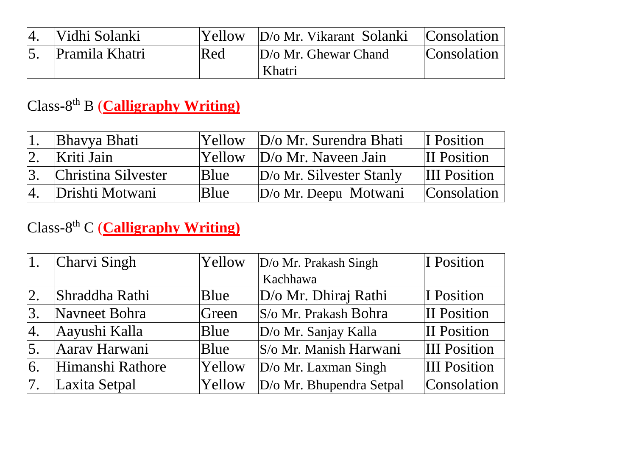| Vidhi Solanki  |     | Yellow   D/o Mr. Vikarant Solanki | Consolation |
|----------------|-----|-----------------------------------|-------------|
| Pramila Khatri | Red | $D/\sigma$ Mr. Ghewar Chand       | Consolation |
|                |     | Khatri                            |             |

### Class-8 th B (**Calligraphy Writing)**

|    | Bhavya Bhati        |      | Yellow D/o Mr. Surendra Bhati     | I Position          |
|----|---------------------|------|-----------------------------------|---------------------|
| 2. | Kriti Jain          |      | $ Y$ ellow $ D\ $ Mr. Naveen Jain | <b>II</b> Position  |
|    | Christina Silvester | Blue | $D/\sigma$ Mr. Silvester Stanly   | <b>III</b> Position |
|    | 4. Drishti Motwani  | Blue | $D/\sigma$ Mr. Deepu Motwani      | Consolation         |

## Class-8 th C (**Calligraphy Writing)**

|                  | Charvi Singh     | Yellow | $D/O$ Mr. Prakash Singh     | I Position          |
|------------------|------------------|--------|-----------------------------|---------------------|
|                  |                  |        | Kachhawa                    |                     |
| 2.               | Shraddha Rathi   | Blue   | $D/O$ Mr. Dhiraj Rathi      | I Position          |
| 3.               | Navneet Bohra    | Green  | S/o Mr. Prakash Bohra       | <b>II</b> Position  |
| 4.               | Aayushi Kalla    | Blue   | D/o Mr. Sanjay Kalla        | II Position         |
| $\overline{5}$ . | Aarav Harwani    | Blue   | S/o Mr. Manish Harwani      | <b>III</b> Position |
| 16.              | Himanshi Rathore | Yellow | $D/\sigma$ Mr. Laxman Singh | <b>III</b> Position |
|                  | Laxita Setpal    | Yellow | D/o Mr. Bhupendra Setpal    | Consolation         |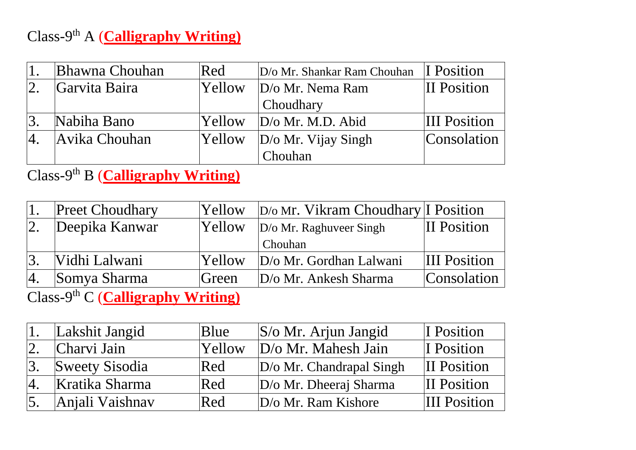# Class-9<sup>th</sup> A (**Calligraphy Writing**)

| <b>Bhawna Chouhan</b> | Red           | D/o Mr. Shankar Ram Chouhan | I Position          |
|-----------------------|---------------|-----------------------------|---------------------|
| Garvita Baira         | <b>Yellow</b> | $D/\sigma$ Mr. Nema Ram     | <b>II</b> Position  |
|                       |               | Choudhary                   |                     |
| Nabiha Bano           | <b>Yellow</b> | $D/O$ Mr. M.D. Abid         | <b>III</b> Position |
| Avika Chouhan         | Yellow        | $D/\sigma$ Mr. Vijay Singh  | Consolation         |
|                       |               | Chouhan                     |                     |

Class-9<sup>th</sup> B (**Calligraphy Writing**)

|        | <b>Preet Choudhary</b>                       | Yellow                          | $D/\omega$ Mr. Vikram Choudhary I Position |                     |
|--------|----------------------------------------------|---------------------------------|--------------------------------------------|---------------------|
|        | Deepika Kanwar                               | Yellow                          | $D/\sigma$ Mr. Raghuveer Singh             | <b>II</b> Position  |
|        |                                              |                                 | Chouhan                                    |                     |
| 2      | Vidhi Lalwani                                | Yellow                          | $D/\sigma$ Mr. Gordhan Lalwani             | <b>III</b> Position |
|        | Somya Sharma                                 | Green                           | $D/\sigma$ Mr. Ankesh Sharma               | Consolation         |
| $\sim$ | $\sim$ th $\sim$ $\sim$ $\sim$ $\sim$ $\sim$ | $\mathbf{v}$ , and $\mathbf{v}$ |                                            |                     |

Class-9<sup>th</sup> C (**Calligraphy Writing**)

|                  | Lakshit Jangid  | Blue          | $ S/\text{o}$ Mr. Arjun Jangid  | I Position          |
|------------------|-----------------|---------------|---------------------------------|---------------------|
|                  | Charvi Jain     | <b>Yellow</b> | D/o Mr. Mahesh Jain             | I Position          |
|                  | Sweety Sisodia  | Red           | $D/\sigma$ Mr. Chandrapal Singh | <b>II</b> Position  |
|                  | Kratika Sharma  | Red           | $D/\sigma$ Mr. Dheeraj Sharma   | <b>II</b> Position  |
| $\overline{5}$ . | Anjali Vaishnav | Red           | $D$ /o Mr. Ram Kishore          | <b>III</b> Position |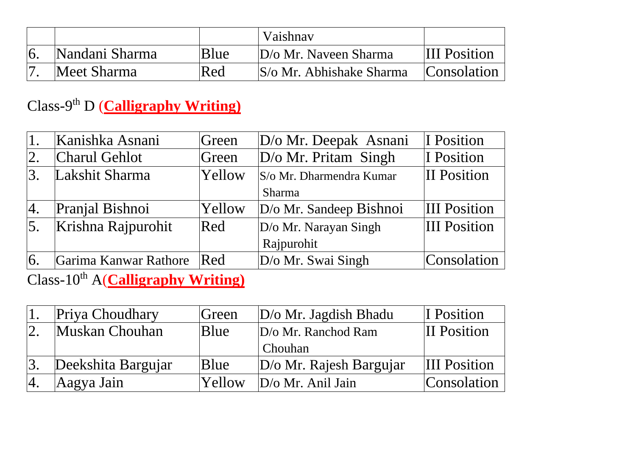|                |      | Vaishnav                     |                     |
|----------------|------|------------------------------|---------------------|
| Nandani Sharma | Blue | $D/\sigma$ Mr. Naveen Sharma | <b>III</b> Position |
| Meet Sharma    | Red  | S/o Mr. Abhishake Sharma     | Consolation         |

### Class-9<sup>th</sup> D (**Calligraphy Writing**)

| Kanishka Asnani       | Green | D/o Mr. Deepak Asnani            | I Position                                                                                           |
|-----------------------|-------|----------------------------------|------------------------------------------------------------------------------------------------------|
| <b>Charul Gehlot</b>  |       |                                  | I Position                                                                                           |
| Lakshit Sharma        |       |                                  | <b>II</b> Position                                                                                   |
|                       |       | Sharma                           |                                                                                                      |
| Pranjal Bishnoi       |       |                                  | <b>III</b> Position                                                                                  |
| Krishna Rajpurohit    |       |                                  | <b>III</b> Position                                                                                  |
|                       |       | Rajpurohit                       |                                                                                                      |
| Garima Kanwar Rathore | Red   | $D$ /o Mr. Swai Singh            | Consolation                                                                                          |
|                       |       | Green<br>Yellow<br>Yellow<br>Red | D/o Mr. Pritam Singh<br>S/o Mr. Dharmendra Kumar<br>D/o Mr. Sandeep Bishnoi<br>D/o Mr. Narayan Singh |

Class-10th A(**Calligraphy Writing)**

| Priya Choudhary    | Green  | $D/\sigma$ Mr. Jagdish Bhadu   | I Position          |
|--------------------|--------|--------------------------------|---------------------|
| Muskan Chouhan     | Blue   | $D/\sigma$ Mr. Ranchod Ram     | II Position         |
|                    |        | Chouhan                        |                     |
| Deekshita Bargujar | Blue   | $D/\sigma$ Mr. Rajesh Bargujar | <b>III</b> Position |
| Aagya Jain         | Yellow | $D/O$ Mr. Anil Jain            | Consolation         |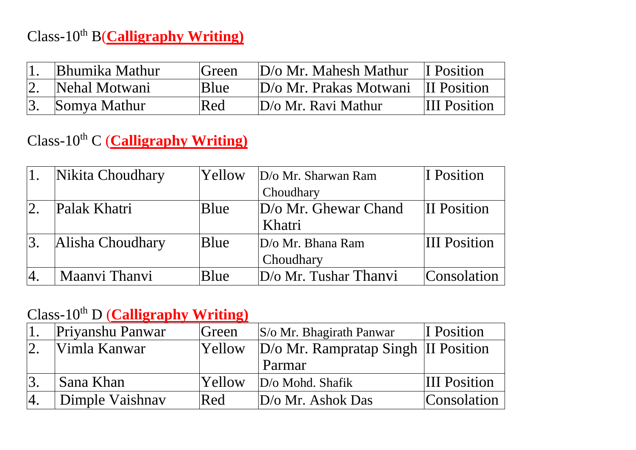# Class-10th B(**Calligraphy Writing)**

| <b>Bhumika Mathur</b> | <b>Green</b> | $D/\sigma$ Mr. Mahesh Mathur I Position   |                     |
|-----------------------|--------------|-------------------------------------------|---------------------|
| Nehal Motwani         | Blue         | $D/\sigma$ Mr. Prakas Motwani II Position |                     |
| Somya Mathur          | Red          | $D/\sigma$ Mr. Ravi Mathur                | <b>III</b> Position |

# Class-10th C (**Calligraphy Writing)**

|     | Nikita Choudhary | Yellow | $D$ /o Mr. Sharwan Ram   | II Position         |
|-----|------------------|--------|--------------------------|---------------------|
|     |                  |        | Choudhary                |                     |
| 12. | Palak Khatri     | Blue   | D/o Mr. Ghewar Chand     | <b>II</b> Position  |
|     |                  |        | Khatri                   |                     |
| 3.  | Alisha Choudhary | Blue   | $D/\sigma$ Mr. Bhana Ram | <b>III</b> Position |
|     |                  |        | Choudhary                |                     |
| 14. | Maanyi Thanyi    | Blue   | $D$ /0 Mr. Tushar Thanvi | Consolation         |

### Class-10th D (**Calligraphy Writing)**

| Priyanshu Panwar | Green         | $ S/\text{o}$ Mr. Bhagirath Panwar  | I Position          |
|------------------|---------------|-------------------------------------|---------------------|
| Vimla Kanwar     | Yellow        | D/o Mr. Rampratap Singh II Position |                     |
|                  |               | Parmar                              |                     |
| Sana Khan        | <b>Yellow</b> | $D/\sigma$ Mohd. Shafik             | <b>III</b> Position |
| Dimple Vaishnav  | Red           | $D/\sigma$ Mr. Ashok Das            | Consolation         |